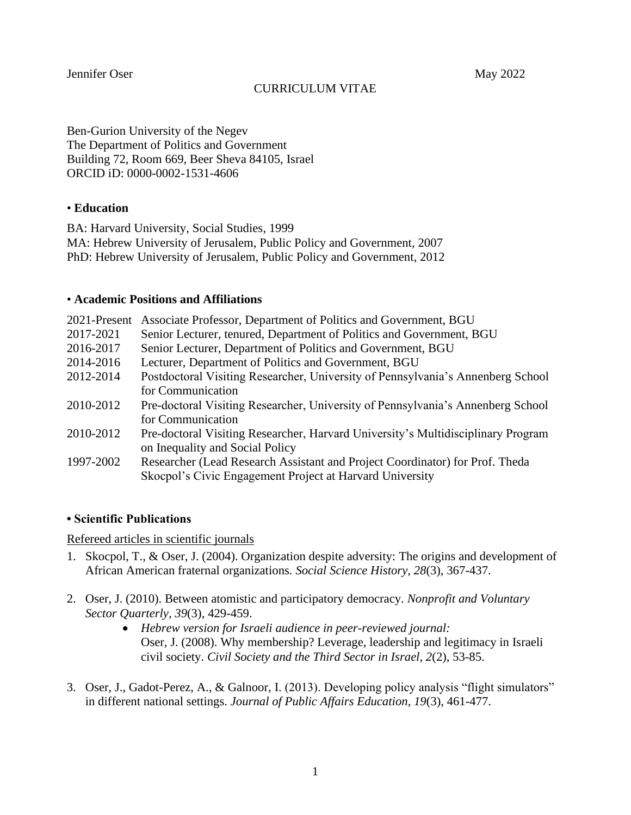Jennifer Oser May 2022

Ben-Gurion University of the Negev The Department of Politics and Government Building 72, Room 669, Beer Sheva 84105, Israel ORCID iD: 0000-0002-1531-4606

# • **Education**

BA: Harvard University, Social Studies, 1999 MA: Hebrew University of Jerusalem, Public Policy and Government, 2007 PhD: Hebrew University of Jerusalem, Public Policy and Government, 2012

### • **Academic Positions and Affiliations**

| 2021-Present | Associate Professor, Department of Politics and Government, BGU                                                                          |
|--------------|------------------------------------------------------------------------------------------------------------------------------------------|
| 2017-2021    | Senior Lecturer, tenured, Department of Politics and Government, BGU                                                                     |
| 2016-2017    | Senior Lecturer, Department of Politics and Government, BGU                                                                              |
| 2014-2016    | Lecturer, Department of Politics and Government, BGU                                                                                     |
| 2012-2014    | Postdoctoral Visiting Researcher, University of Pennsylvania's Annenberg School<br>for Communication                                     |
| 2010-2012    | Pre-doctoral Visiting Researcher, University of Pennsylvania's Annenberg School<br>for Communication                                     |
| 2010-2012    | Pre-doctoral Visiting Researcher, Harvard University's Multidisciplinary Program<br>on Inequality and Social Policy                      |
| 1997-2002    | Researcher (Lead Research Assistant and Project Coordinator) for Prof. Theda<br>Skocpol's Civic Engagement Project at Harvard University |

# **• Scientific Publications**

### Refereed articles in scientific journals

- 1. Skocpol, T., & Oser, J. (2004). Organization despite adversity: The origins and development of African American fraternal organizations. *Social Science History, 28*(3), 367-437.
- 2. Oser, J. (2010). Between atomistic and participatory democracy. *Nonprofit and Voluntary Sector Quarterly, 39*(3), 429-459.
	- *Hebrew version for Israeli audience in peer-reviewed journal:*  Oser, J. (2008). Why membership? Leverage, leadership and legitimacy in Israeli civil society. *Civil Society and the Third Sector in Israel, 2*(2), 53-85.
- 3. Oser, J., Gadot-Perez, A., & Galnoor, I. (2013). Developing policy analysis "flight simulators" in different national settings. *Journal of Public Affairs Education, 19*(3), 461-477.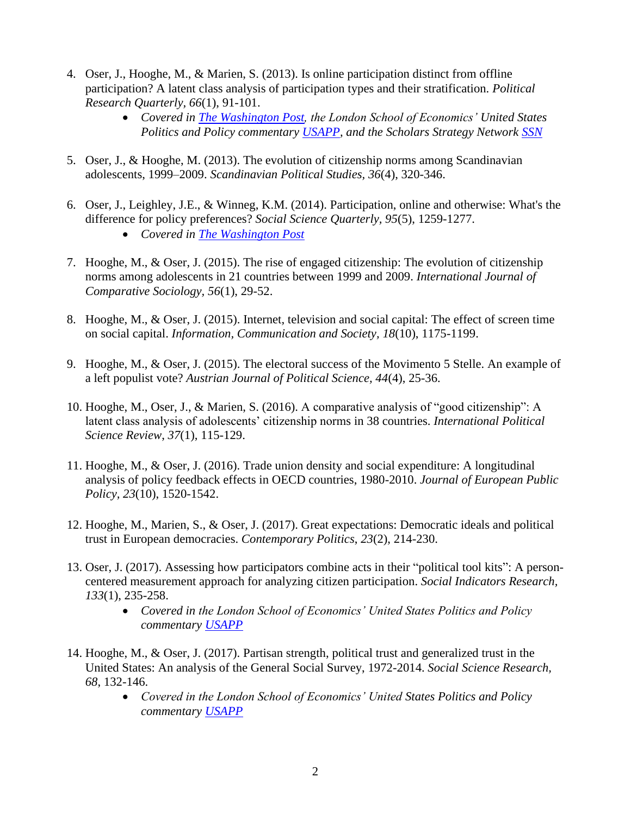- 4. Oser, J., Hooghe, M., & Marien, S. (2013). Is online participation distinct from offline participation? A latent class analysis of participation types and their stratification. *Political Research Quarterly, 66*(1), 91-101.
	- *Covered in [The Washington Post,](https://www.dropbox.com/s/12vqg4f0f89g2ka/Oser%20Hooghe%20Marien%202014%20Washington%20Post%20summary%20of%20PRQ.pdf?dl=0) the London School of Economics' United States Politics and Policy commentary [USAPP,](http://blogs.lse.ac.uk/usappblog/2013/09/19/online-opportunities-for-political-participation-in-the-us/) and the Scholars Strategy Network [SSN](https://scholars.org/brief/why-online-activism-unlikely-reduce-political-inequalities-united-states)*
- 5. Oser, J., & Hooghe, M. (2013). The evolution of citizenship norms among Scandinavian adolescents, 1999–2009. *Scandinavian Political Studies, 36*(4), 320-346.
- 6. Oser, J., Leighley, J.E., & Winneg, K.M. (2014). Participation, online and otherwise: What's the difference for policy preferences? *Social Science Quarterly, 95*(5), 1259-1277. • *Covered in [The Washington Post](https://www.dropbox.com/s/vyo4gk2msgj7my7/Oser%20Leighley%20Winneg%202014_Washington%20Post.pdf?dl=1)*
- 7. Hooghe, M., & Oser, J. (2015). The rise of engaged citizenship: The evolution of citizenship norms among adolescents in 21 countries between 1999 and 2009. *International Journal of Comparative Sociology, 56*(1), 29-52.
- 8. Hooghe, M., & Oser, J. (2015). Internet, television and social capital: The effect of screen time on social capital. *Information, Communication and Society, 18*(10), 1175-1199.
- 9. Hooghe, M., & Oser, J. (2015). The electoral success of the Movimento 5 Stelle. An example of a left populist vote? *Austrian Journal of Political Science, 44*(4), 25-36.
- 10. Hooghe, M., Oser, J., & Marien, S. (2016). A comparative analysis of "good citizenship": A latent class analysis of adolescents' citizenship norms in 38 countries. *International Political Science Review*, *37*(1), 115-129.
- 11. Hooghe, M., & Oser, J. (2016). Trade union density and social expenditure: A longitudinal analysis of policy feedback effects in OECD countries, 1980-2010. *Journal of European Public Policy, 23*(10), 1520-1542.
- 12. Hooghe, M., Marien, S., & Oser, J. (2017). Great expectations: Democratic ideals and political trust in European democracies. *Contemporary Politics*, *23*(2), 214-230.
- 13. Oser, J. (2017). Assessing how participators combine acts in their "political tool kits": A personcentered measurement approach for analyzing citizen participation. *Social Indicators Research, 133*(1), 235-258.
	- *Covered in the London School of Economics' United States Politics and Policy commentary [USAPP](https://blogs.lse.ac.uk/usappblog/2018/01/05/you-can-boo-and-vote-a-new-approach-for-studying-how-people-combine-political-activities/)*
- 14. Hooghe, M., & Oser, J. (2017). Partisan strength, political trust and generalized trust in the United States: An analysis of the General Social Survey, 1972-2014. *Social Science Research, 68*, 132-146.
	- *Covered in the London School of Economics' United States Politics and Policy commentary [USAPP](https://blogs.lse.ac.uk/usappblog/2017/11/15/strong-partisans-trust-the-political-system-but-not-other-people/)*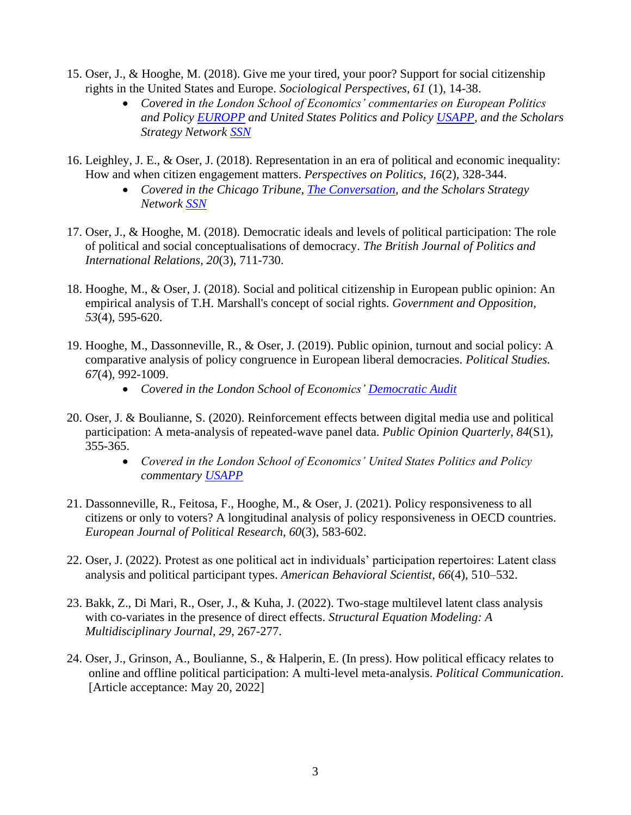- 15. Oser, J., & Hooghe, M. (2018). Give me your tired, your poor? Support for social citizenship rights in the United States and Europe. *Sociological Perspectives*, *61* (1), 14-38.
	- *Covered in the London School of Economics' commentaries on European Politics and Policy [EUROPP](http://blogs.lse.ac.uk/europpblog/2017/09/14/how-do-attitudes-toward-redistribution-differ-between-europe-and-the-united-states/) and United States Politics and Policy [USAPP,](http://blogs.lse.ac.uk/usappblog/2017/09/12/public-opinion-is-less-supportive-of-redistribution-and-social-security-in-the-us-than-in-europe-but-many-us-citizens-want-to-see-more-done-to-reduce-poverty-and-inequality/) and the Scholars Strategy Network [SSN](https://scholars.org/brief/do-americans-care-less-europeans-about-protection-poverty-and-inequality)*
- 16. Leighley, J. E., & Oser, J. (2018). Representation in an era of political and economic inequality: How and when citizen engagement matters. *Perspectives on Politics, 16*(2), 328-344.
	- *Covered in the Chicago Tribune, [The Conversation,](https://theconversation.com/members-of-congress-respond-to-more-than-money-sometimes-90725) and the Scholars Strategy Network [SSN](https://scholars.org/brief/when-do-members-us-congress-respond-less-privileged-constituents)*
- 17. Oser, J., & Hooghe, M. (2018). Democratic ideals and levels of political participation: The role of political and social conceptualisations of democracy. *The British Journal of Politics and International Relations, 20*(3), 711-730.
- 18. Hooghe, M., & Oser, J. (2018). Social and political citizenship in European public opinion: An empirical analysis of T.H. Marshall's concept of social rights. *Government and Opposition, 53*(4), 595-620.
- 19. Hooghe, M., Dassonneville, R., & Oser, J. (2019). Public opinion, turnout and social policy: A comparative analysis of policy congruence in European liberal democracies. *Political Studies. 67*(4), 992-1009.
	- *Covered in the London School of Economics' [Democratic Audit](http://www.democraticaudit.com/2019/03/26/can-voters-influence-social-policy/)*
- 20. Oser, J. & Boulianne, S. (2020). Reinforcement effects between digital media use and political participation: A meta-analysis of repeated-wave panel data. *Public Opinion Quarterly*, *84*(S1), 355-365.
	- *Covered in the London School of Economics' United States Politics and Policy commentary [USAPP](https://blogs.lse.ac.uk/usappblog/2020/07/13/using-digital-media-reinforces-inequalities-in-political-participation/)*
- 21. Dassonneville, R., Feitosa, F., Hooghe, M., & Oser, J. (2021). Policy responsiveness to all citizens or only to voters? A longitudinal analysis of policy responsiveness in OECD countries. *European Journal of Political Research, 60*(3), 583-602.
- 22. Oser, J. (2022). Protest as one political act in individuals' participation repertoires: Latent class analysis and political participant types. *American Behavioral Scientist*, *66*(4), 510–532.
- 23. Bakk, Z., Di Mari, R., Oser, J., & Kuha, J. (2022). Two-stage multilevel latent class analysis with co-variates in the presence of direct effects. *Structural Equation Modeling: A Multidisciplinary Journal, 29*, 267-277.
- 24. Oser, J., Grinson, A., Boulianne, S., & Halperin, E. (In press). How political efficacy relates to online and offline political participation: A multi-level meta-analysis. *Political Communication*. [Article acceptance: May 20, 2022]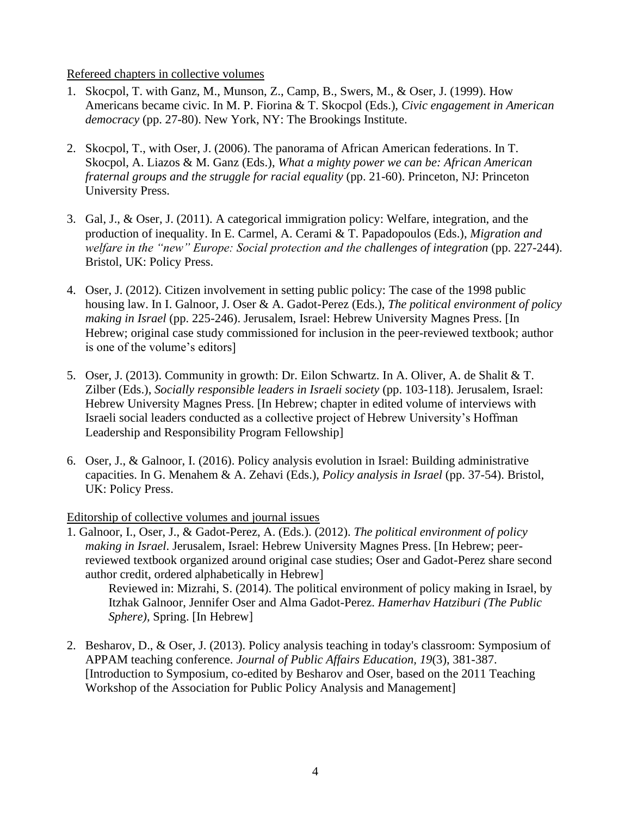### Refereed chapters in collective volumes

- 1. Skocpol, T. with Ganz, M., Munson, Z., Camp, B., Swers, M., & Oser, J. (1999). How Americans became civic. In M. P. Fiorina & T. Skocpol (Eds.), *Civic engagement in American democracy* (pp. 27-80). New York, NY: The Brookings Institute.
- 2. Skocpol, T., with Oser, J. (2006). The panorama of African American federations. In T. Skocpol, A. Liazos & M. Ganz (Eds.), *What a mighty power we can be: African American fraternal groups and the struggle for racial equality* (pp. 21-60). Princeton, NJ: Princeton University Press.
- 3. Gal, J., & Oser, J. (2011). A categorical immigration policy: Welfare, integration, and the production of inequality. In E. Carmel, A. Cerami & T. Papadopoulos (Eds.), *Migration and welfare in the "new" Europe: Social protection and the challenges of integration* (pp. 227-244). Bristol, UK: Policy Press.
- 4. Oser, J. (2012). Citizen involvement in setting public policy: The case of the 1998 public housing law. In I. Galnoor, J. Oser & A. Gadot-Perez (Eds.), *The political environment of policy making in Israel* (pp. 225-246). Jerusalem, Israel: Hebrew University Magnes Press. [In Hebrew; original case study commissioned for inclusion in the peer-reviewed textbook; author is one of the volume's editors]
- 5. Oser, J. (2013). Community in growth: Dr. Eilon Schwartz. In A. Oliver, A. de Shalit & T. Zilber (Eds.), *Socially responsible leaders in Israeli society* (pp. 103-118). Jerusalem, Israel: Hebrew University Magnes Press. [In Hebrew; chapter in edited volume of interviews with Israeli social leaders conducted as a collective project of Hebrew University's Hoffman Leadership and Responsibility Program Fellowship]
- 6. Oser, J., & Galnoor, I. (2016). Policy analysis evolution in Israel: Building administrative capacities. In G. Menahem & A. Zehavi (Eds.), *Policy analysis in Israel* (pp. 37-54). Bristol, UK: Policy Press.

Editorship of collective volumes and journal issues

1. Galnoor, I., Oser, J., & Gadot-Perez, A. (Eds.). (2012). *The political environment of policy making in Israel*. Jerusalem, Israel: Hebrew University Magnes Press. [In Hebrew; peerreviewed textbook organized around original case studies; Oser and Gadot-Perez share second author credit, ordered alphabetically in Hebrew]

Reviewed in: Mizrahi, S. (2014). The political environment of policy making in Israel, by Itzhak Galnoor, Jennifer Oser and Alma Gadot-Perez. *Hamerhav Hatziburi (The Public Sphere),* Spring. [In Hebrew]

2. Besharov, D., & Oser, J. (2013). Policy analysis teaching in today's classroom: Symposium of APPAM teaching conference. *Journal of Public Affairs Education, 19*(3), 381-387. [Introduction to Symposium, co-edited by Besharov and Oser, based on the 2011 Teaching Workshop of the Association for Public Policy Analysis and Management]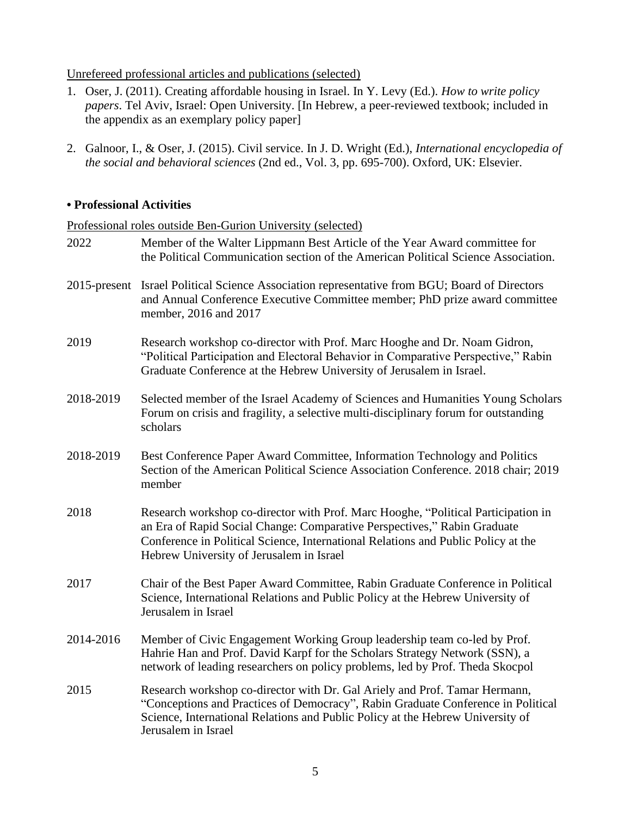## Unrefereed professional articles and publications (selected)

- 1. Oser, J. (2011). Creating affordable housing in Israel. In Y. Levy (Ed.). *How to write policy papers*. Tel Aviv, Israel: Open University. [In Hebrew, a peer-reviewed textbook; included in the appendix as an exemplary policy paper]
- 2. Galnoor, I., & Oser, J. (2015). Civil service. In J. D. Wright (Ed.), *International encyclopedia of the social and behavioral sciences* (2nd ed., Vol. 3, pp. 695-700). Oxford, UK: Elsevier.

## **• Professional Activities**

### Professional roles outside Ben-Gurion University (selected)

| 2022            | Member of the Walter Lippmann Best Article of the Year Award committee for<br>the Political Communication section of the American Political Science Association.                                                                                                                               |
|-----------------|------------------------------------------------------------------------------------------------------------------------------------------------------------------------------------------------------------------------------------------------------------------------------------------------|
| $2015$ -present | Israel Political Science Association representative from BGU; Board of Directors<br>and Annual Conference Executive Committee member; PhD prize award committee<br>member, 2016 and 2017                                                                                                       |
| 2019            | Research workshop co-director with Prof. Marc Hooghe and Dr. Noam Gidron,<br>"Political Participation and Electoral Behavior in Comparative Perspective," Rabin<br>Graduate Conference at the Hebrew University of Jerusalem in Israel.                                                        |
| 2018-2019       | Selected member of the Israel Academy of Sciences and Humanities Young Scholars<br>Forum on crisis and fragility, a selective multi-disciplinary forum for outstanding<br>scholars                                                                                                             |
| 2018-2019       | Best Conference Paper Award Committee, Information Technology and Politics<br>Section of the American Political Science Association Conference. 2018 chair; 2019<br>member                                                                                                                     |
| 2018            | Research workshop co-director with Prof. Marc Hooghe, "Political Participation in<br>an Era of Rapid Social Change: Comparative Perspectives," Rabin Graduate<br>Conference in Political Science, International Relations and Public Policy at the<br>Hebrew University of Jerusalem in Israel |
| 2017            | Chair of the Best Paper Award Committee, Rabin Graduate Conference in Political<br>Science, International Relations and Public Policy at the Hebrew University of<br>Jerusalem in Israel                                                                                                       |
| 2014-2016       | Member of Civic Engagement Working Group leadership team co-led by Prof.<br>Hahrie Han and Prof. David Karpf for the Scholars Strategy Network (SSN), a<br>network of leading researchers on policy problems, led by Prof. Theda Skocpol                                                       |
| 2015            | Research workshop co-director with Dr. Gal Ariely and Prof. Tamar Hermann,<br>"Conceptions and Practices of Democracy", Rabin Graduate Conference in Political<br>Science, International Relations and Public Policy at the Hebrew University of<br>Jerusalem in Israel                        |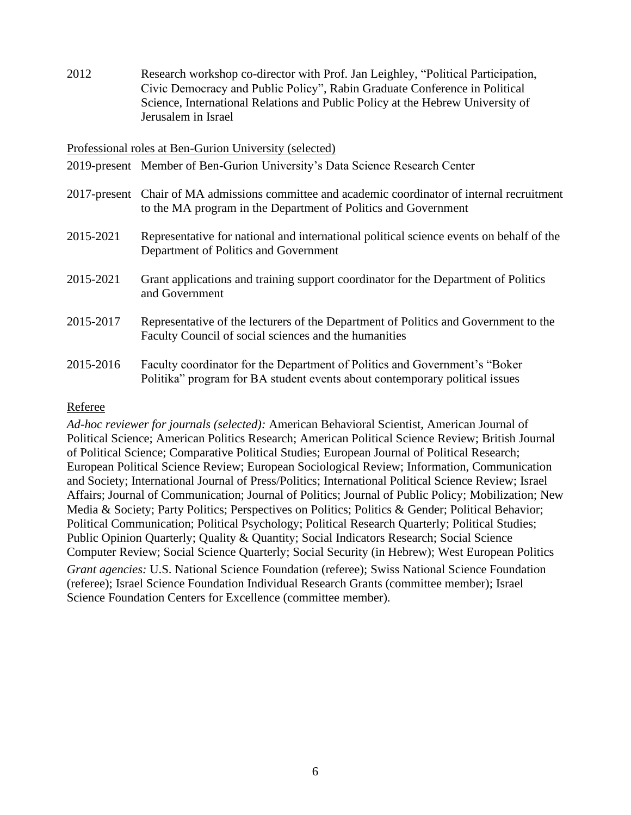2012 Research workshop co-director with Prof. Jan Leighley, "Political Participation, Civic Democracy and Public Policy", Rabin Graduate Conference in Political Science, International Relations and Public Policy at the Hebrew University of Jerusalem in Israel

#### Professional roles at Ben-Gurion University (selected)

- 2019-present Member of Ben-Gurion University's Data Science Research Center
- 2017-present Chair of MA admissions committee and academic coordinator of internal recruitment to the MA program in the Department of Politics and Government
- 2015-2021 Representative for national and international political science events on behalf of the Department of Politics and Government
- 2015-2021 Grant applications and training support coordinator for the Department of Politics and Government
- 2015-2017 Representative of the lecturers of the Department of Politics and Government to the Faculty Council of social sciences and the humanities
- 2015-2016 Faculty coordinator for the Department of Politics and Government's "Boker Politika" program for BA student events about contemporary political issues

#### Referee

*Ad-hoc reviewer for journals (selected):* American Behavioral Scientist, American Journal of Political Science; American Politics Research; American Political Science Review; British Journal of Political Science; Comparative Political Studies; European Journal of Political Research; European Political Science Review; European Sociological Review; Information, Communication and Society; International Journal of Press/Politics; International Political Science Review; Israel Affairs; Journal of Communication; Journal of Politics; Journal of Public Policy; Mobilization; New Media & Society; Party Politics; Perspectives on Politics; Politics & Gender; Political Behavior; Political Communication; Political Psychology; Political Research Quarterly; Political Studies; Public Opinion Quarterly; Quality & Quantity; Social Indicators Research; Social Science Computer Review; Social Science Quarterly; Social Security (in Hebrew); West European Politics *Grant agencies:* U.S. National Science Foundation (referee); Swiss National Science Foundation (referee); Israel Science Foundation Individual Research Grants (committee member); Israel Science Foundation Centers for Excellence (committee member).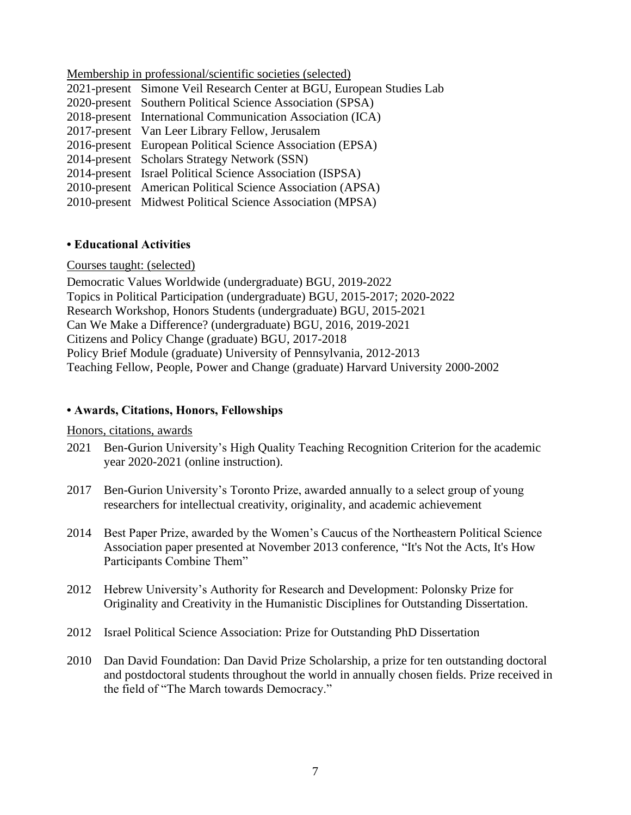Membership in professional/scientific societies (selected) 2021-present Simone Veil Research Center at BGU, European Studies Lab 2020-present Southern Political Science Association (SPSA) 2018-present International Communication Association (ICA) 2017-present Van Leer Library Fellow, Jerusalem 2016-present European Political Science Association (EPSA) 2014-present Scholars Strategy Network (SSN) 2014-present Israel Political Science Association (ISPSA) 2010-present American Political Science Association (APSA) 2010-present Midwest Political Science Association (MPSA)

### **• Educational Activities**

#### Courses taught: (selected)

Democratic Values Worldwide (undergraduate) BGU, 2019-2022 Topics in Political Participation (undergraduate) BGU, 2015-2017; 2020-2022 Research Workshop, Honors Students (undergraduate) BGU, 2015-2021 Can We Make a Difference? (undergraduate) BGU, 2016, 2019-2021 Citizens and Policy Change (graduate) BGU, 2017-2018 Policy Brief Module (graduate) University of Pennsylvania, 2012-2013 Teaching Fellow, People, Power and Change (graduate) Harvard University 2000-2002

### **• Awards, Citations, Honors, Fellowships**

#### Honors, citations, awards

- 2021 Ben-Gurion University's High Quality Teaching Recognition Criterion for the academic year 2020-2021 (online instruction).
- 2017 Ben-Gurion University's Toronto Prize, awarded annually to a select group of young researchers for intellectual creativity, originality, and academic achievement
- 2014 Best Paper Prize, awarded by the Women's Caucus of the Northeastern Political Science Association paper presented at November 2013 conference, "It's Not the Acts, It's How Participants Combine Them"
- 2012 Hebrew University's Authority for Research and Development: Polonsky Prize for Originality and Creativity in the Humanistic Disciplines for Outstanding Dissertation.
- 2012 Israel Political Science Association: Prize for Outstanding PhD Dissertation
- 2010 Dan David Foundation: Dan David Prize Scholarship, a prize for ten outstanding doctoral and postdoctoral students throughout the world in annually chosen fields. Prize received in the field of "The March towards Democracy."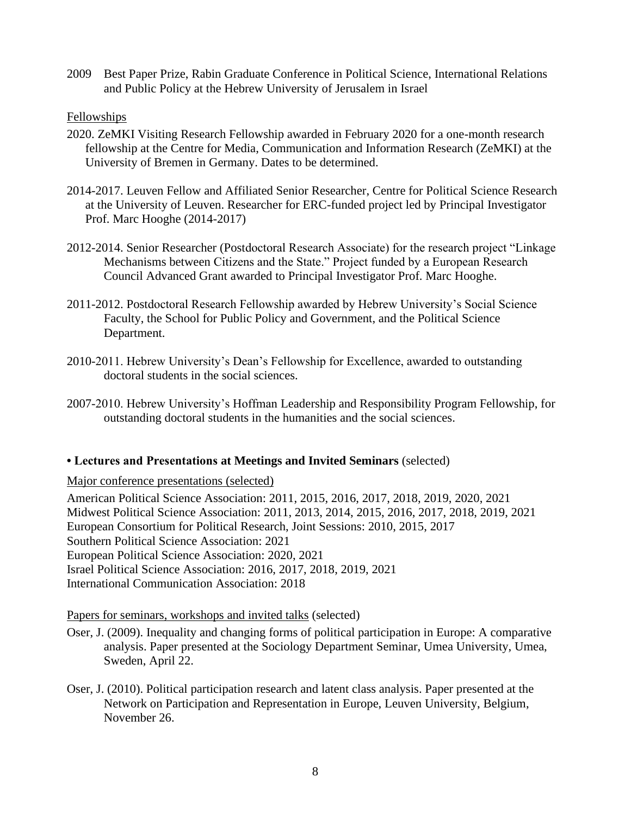2009 Best Paper Prize, Rabin Graduate Conference in Political Science, International Relations and Public Policy at the Hebrew University of Jerusalem in Israel

# **Fellowships**

- 2020. ZeMKI Visiting Research Fellowship awarded in February 2020 for a one-month research fellowship at the Centre for Media, Communication and Information Research (ZeMKI) at the University of Bremen in Germany. Dates to be determined.
- 2014-2017. Leuven Fellow and Affiliated Senior Researcher, Centre for Political Science Research at the University of Leuven. Researcher for ERC-funded project led by Principal Investigator Prof. Marc Hooghe (2014-2017)
- 2012-2014. Senior Researcher (Postdoctoral Research Associate) for the research project "Linkage Mechanisms between Citizens and the State." Project funded by a European Research Council Advanced Grant awarded to Principal Investigator Prof. Marc Hooghe.
- 2011-2012. Postdoctoral Research Fellowship awarded by Hebrew University's Social Science Faculty, the School for Public Policy and Government, and the Political Science Department.
- 2010-2011. Hebrew University's Dean's Fellowship for Excellence, awarded to outstanding doctoral students in the social sciences.
- 2007-2010. Hebrew University's Hoffman Leadership and Responsibility Program Fellowship, for outstanding doctoral students in the humanities and the social sciences.

### **• Lectures and Presentations at Meetings and Invited Seminars** (selected)

Major conference presentations (selected)

American Political Science Association: 2011, 2015, 2016, 2017, 2018, 2019, 2020, 2021 Midwest Political Science Association: 2011, 2013, 2014, 2015, 2016, 2017, 2018, 2019, 2021 European Consortium for Political Research, Joint Sessions: 2010, 2015, 2017 Southern Political Science Association: 2021 European Political Science Association: 2020, 2021 Israel Political Science Association: 2016, 2017, 2018, 2019, 2021 International Communication Association: 2018

### Papers for seminars, workshops and invited talks (selected)

- Oser, J. (2009). Inequality and changing forms of political participation in Europe: A comparative analysis. Paper presented at the Sociology Department Seminar, Umea University, Umea, Sweden, April 22.
- Oser, J. (2010). Political participation research and latent class analysis. Paper presented at the Network on Participation and Representation in Europe, Leuven University, Belgium, November 26.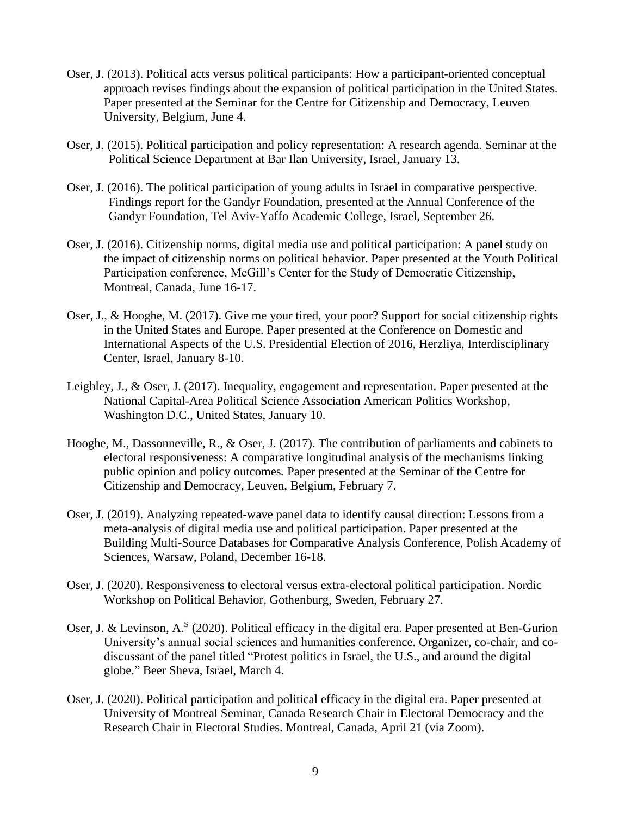- Oser, J. (2013). Political acts versus political participants: How a participant-oriented conceptual approach revises findings about the expansion of political participation in the United States. Paper presented at the Seminar for the Centre for Citizenship and Democracy, Leuven University, Belgium, June 4.
- Oser, J. (2015). Political participation and policy representation: A research agenda. Seminar at the Political Science Department at Bar Ilan University, Israel, January 13.
- Oser, J. (2016). The political participation of young adults in Israel in comparative perspective. Findings report for the Gandyr Foundation, presented at the Annual Conference of the Gandyr Foundation, Tel Aviv-Yaffo Academic College, Israel, September 26.
- Oser, J. (2016). Citizenship norms, digital media use and political participation: A panel study on the impact of citizenship norms on political behavior. Paper presented at the Youth Political Participation conference, McGill's Center for the Study of Democratic Citizenship, Montreal, Canada, June 16-17.
- Oser, J., & Hooghe, M. (2017). Give me your tired, your poor? Support for social citizenship rights in the United States and Europe. Paper presented at the Conference on Domestic and International Aspects of the U.S. Presidential Election of 2016, Herzliya, Interdisciplinary Center, Israel, January 8-10.
- Leighley, J., & Oser, J. (2017). Inequality, engagement and representation. Paper presented at the National Capital-Area Political Science Association American Politics Workshop, Washington D.C., United States, January 10.
- Hooghe, M., Dassonneville, R., & Oser, J. (2017). The contribution of parliaments and cabinets to electoral responsiveness: A comparative longitudinal analysis of the mechanisms linking public opinion and policy outcomes*.* Paper presented at the Seminar of the Centre for Citizenship and Democracy, Leuven, Belgium, February 7.
- Oser, J. (2019). Analyzing repeated-wave panel data to identify causal direction: Lessons from a meta-analysis of digital media use and political participation. Paper presented at the Building Multi-Source Databases for Comparative Analysis Conference, Polish Academy of Sciences, Warsaw, Poland, December 16-18.
- Oser, J. (2020). Responsiveness to electoral versus extra-electoral political participation. Nordic Workshop on Political Behavior, Gothenburg, Sweden, February 27.
- Oser, J. & Levinson, A.<sup>S</sup> (2020). Political efficacy in the digital era. Paper presented at Ben-Gurion University's annual social sciences and humanities conference. Organizer, co-chair, and codiscussant of the panel titled "Protest politics in Israel, the U.S., and around the digital globe." Beer Sheva, Israel, March 4.
- Oser, J. (2020). Political participation and political efficacy in the digital era. Paper presented at University of Montreal Seminar, Canada Research Chair in Electoral Democracy and the Research Chair in Electoral Studies. Montreal, Canada, April 21 (via Zoom).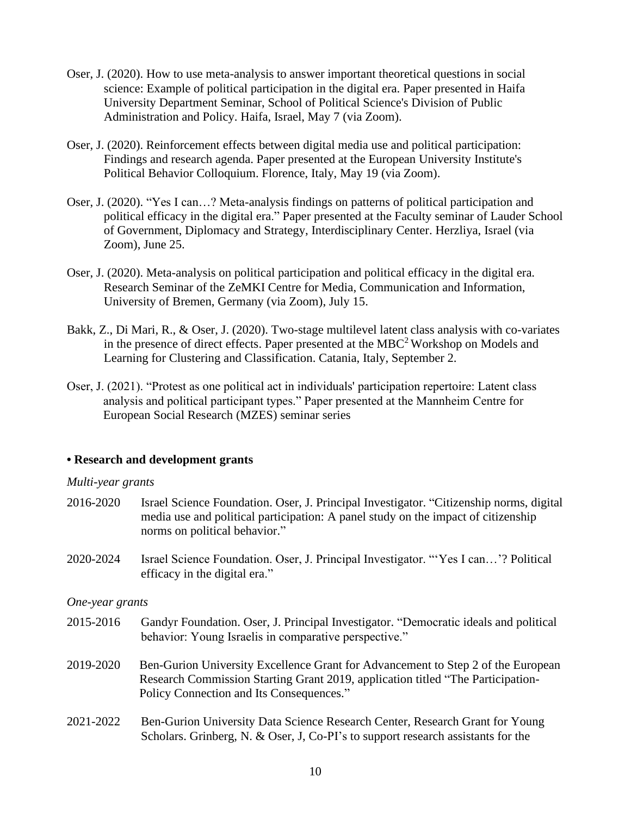- Oser, J. (2020). How to use meta-analysis to answer important theoretical questions in social science: Example of political participation in the digital era. Paper presented in Haifa University Department Seminar, School of Political Science's Division of Public Administration and Policy. Haifa, Israel, May 7 (via Zoom).
- Oser, J. (2020). Reinforcement effects between digital media use and political participation: Findings and research agenda. Paper presented at the European University Institute's Political Behavior Colloquium. Florence, Italy, May 19 (via Zoom).
- Oser, J. (2020). "Yes I can…? Meta-analysis findings on patterns of political participation and political efficacy in the digital era." Paper presented at the Faculty seminar of Lauder School of Government, Diplomacy and Strategy, Interdisciplinary Center. Herzliya, Israel (via Zoom), June 25.
- Oser, J. (2020). Meta-analysis on political participation and political efficacy in the digital era. Research Seminar of the ZeMKI Centre for Media, Communication and Information, University of Bremen, Germany (via Zoom), July 15.
- Bakk, Z., Di Mari, R., & Oser, J. (2020). Two-stage multilevel latent class analysis with co-variates in the presence of direct effects. Paper presented at the  $MBC<sup>2</sup> Workshop on Models and$ Learning for Clustering and Classification. Catania, Italy, September 2.
- Oser, J. (2021). "Protest as one political act in individuals' participation repertoire: Latent class analysis and political participant types." Paper presented at the Mannheim Centre for European Social Research (MZES) seminar series

### **• Research and development grants**

#### *Multi-year grants*

- 2016-2020 Israel Science Foundation. Oser, J. Principal Investigator. "Citizenship norms, digital media use and political participation: A panel study on the impact of citizenship norms on political behavior."
- 2020-2024 Israel Science Foundation. Oser, J. Principal Investigator. "'Yes I can…'? Political efficacy in the digital era."

# *One-year grants*

- 2015-2016 Gandyr Foundation. Oser, J. Principal Investigator. "Democratic ideals and political behavior: Young Israelis in comparative perspective."
- 2019-2020 Ben-Gurion University Excellence Grant for Advancement to Step 2 of the European Research Commission Starting Grant 2019, application titled "The Participation-Policy Connection and Its Consequences."
- 2021-2022 Ben-Gurion University Data Science Research Center, Research Grant for Young Scholars. Grinberg, N. & Oser, J, Co-PI's to support research assistants for the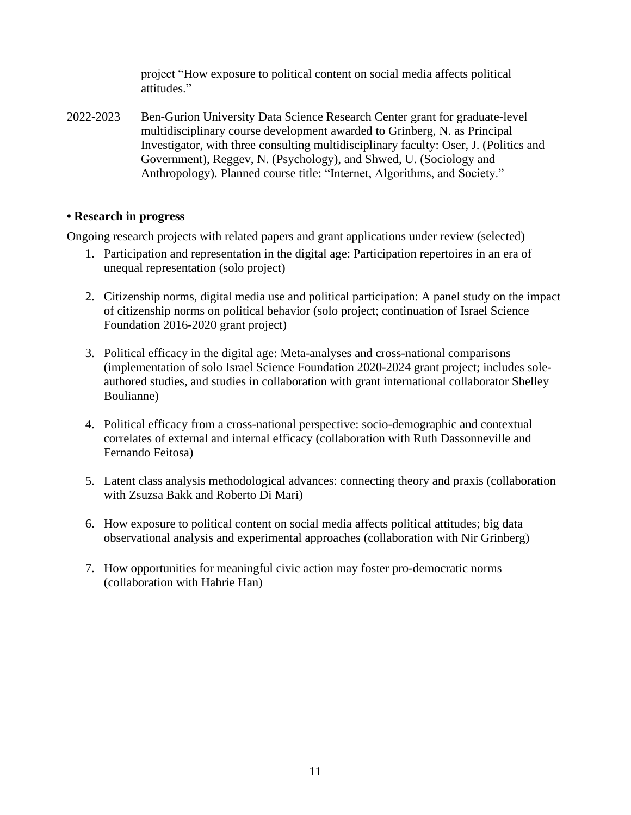project "How exposure to political content on social media affects political attitudes."

2022-2023 Ben-Gurion University Data Science Research Center grant for graduate-level multidisciplinary course development awarded to Grinberg, N. as Principal Investigator, with three consulting multidisciplinary faculty: Oser, J. (Politics and Government), Reggev, N. (Psychology), and Shwed, U. (Sociology and Anthropology). Planned course title: "Internet, Algorithms, and Society."

# **• Research in progress**

Ongoing research projects with related papers and grant applications under review (selected)

- 1. Participation and representation in the digital age: Participation repertoires in an era of unequal representation (solo project)
- 2. Citizenship norms, digital media use and political participation: A panel study on the impact of citizenship norms on political behavior (solo project; continuation of Israel Science Foundation 2016-2020 grant project)
- 3. Political efficacy in the digital age: Meta-analyses and cross-national comparisons (implementation of solo Israel Science Foundation 2020-2024 grant project; includes soleauthored studies, and studies in collaboration with grant international collaborator Shelley Boulianne)
- 4. Political efficacy from a cross-national perspective: socio-demographic and contextual correlates of external and internal efficacy (collaboration with Ruth Dassonneville and Fernando Feitosa)
- 5. Latent class analysis methodological advances: connecting theory and praxis (collaboration with Zsuzsa Bakk and Roberto Di Mari)
- 6. How exposure to political content on social media affects political attitudes; big data observational analysis and experimental approaches (collaboration with Nir Grinberg)
- 7. How opportunities for meaningful civic action may foster pro-democratic norms (collaboration with Hahrie Han)